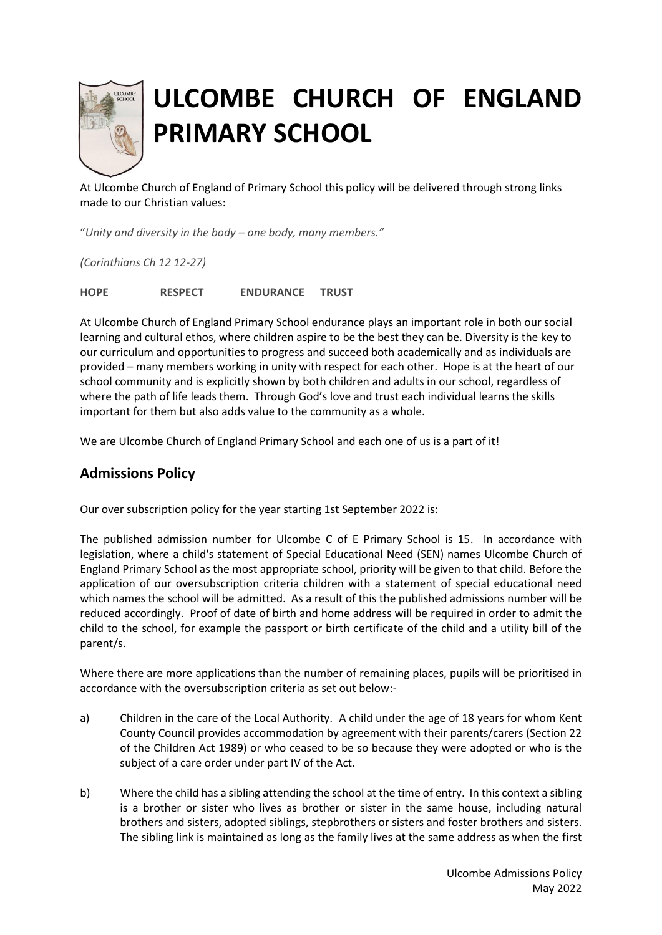

## **ULCOMBE CHURCH OF ENGLAND PRIMARY SCHOOL**

At Ulcombe Church of England of Primary School this policy will be delivered through strong links made to our Christian values:

"*Unity and diversity in the body – one body, many members."*

*(Corinthians Ch 12 12-27)*

**HOPE RESPECT ENDURANCE TRUST**

At Ulcombe Church of England Primary School endurance plays an important role in both our social learning and cultural ethos, where children aspire to be the best they can be. Diversity is the key to our curriculum and opportunities to progress and succeed both academically and as individuals are provided – many members working in unity with respect for each other. Hope is at the heart of our school community and is explicitly shown by both children and adults in our school, regardless of where the path of life leads them. Through God's love and trust each individual learns the skills important for them but also adds value to the community as a whole.

We are Ulcombe Church of England Primary School and each one of us is a part of it!

## **Admissions Policy**

Our over subscription policy for the year starting 1st September 2022 is:

The published admission number for Ulcombe C of E Primary School is 15. In accordance with legislation, where a child's statement of Special Educational Need (SEN) names Ulcombe Church of England Primary School as the most appropriate school, priority will be given to that child. Before the application of our oversubscription criteria children with a statement of special educational need which names the school will be admitted. As a result of this the published admissions number will be reduced accordingly. Proof of date of birth and home address will be required in order to admit the child to the school, for example the passport or birth certificate of the child and a utility bill of the parent/s.

Where there are more applications than the number of remaining places, pupils will be prioritised in accordance with the oversubscription criteria as set out below:-

- a) Children in the care of the Local Authority. A child under the age of 18 years for whom Kent County Council provides accommodation by agreement with their parents/carers (Section 22 of the Children Act 1989) or who ceased to be so because they were adopted or who is the subject of a care order under part IV of the Act.
- b) Where the child has a sibling attending the school at the time of entry. In this context a sibling is a brother or sister who lives as brother or sister in the same house, including natural brothers and sisters, adopted siblings, stepbrothers or sisters and foster brothers and sisters. The sibling link is maintained as long as the family lives at the same address as when the first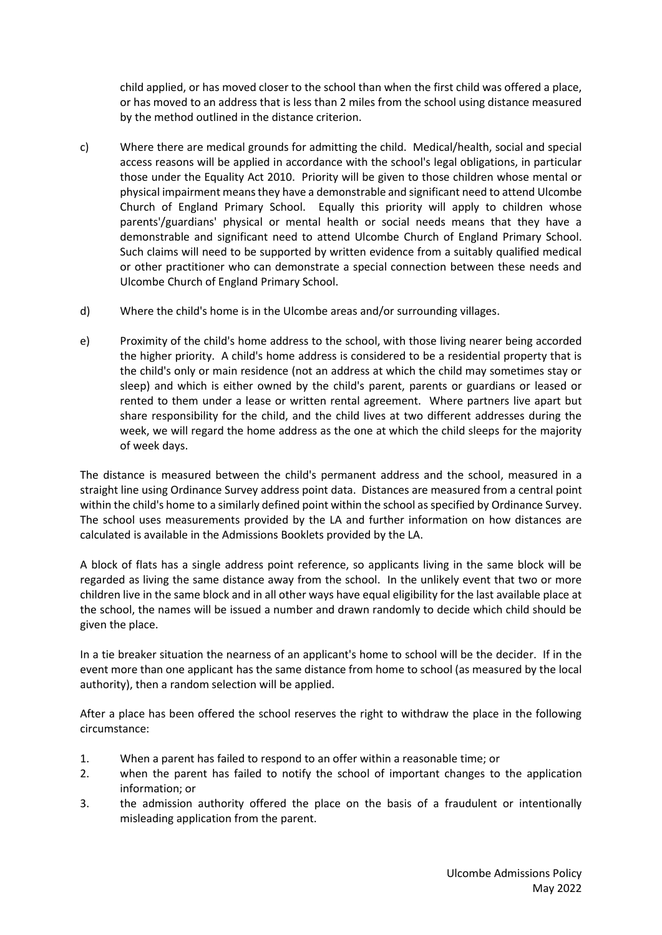child applied, or has moved closer to the school than when the first child was offered a place, or has moved to an address that is less than 2 miles from the school using distance measured by the method outlined in the distance criterion.

- c) Where there are medical grounds for admitting the child. Medical/health, social and special access reasons will be applied in accordance with the school's legal obligations, in particular those under the Equality Act 2010. Priority will be given to those children whose mental or physical impairment means they have a demonstrable and significant need to attend Ulcombe Church of England Primary School. Equally this priority will apply to children whose parents'/guardians' physical or mental health or social needs means that they have a demonstrable and significant need to attend Ulcombe Church of England Primary School. Such claims will need to be supported by written evidence from a suitably qualified medical or other practitioner who can demonstrate a special connection between these needs and Ulcombe Church of England Primary School.
- d) Where the child's home is in the Ulcombe areas and/or surrounding villages.
- e) Proximity of the child's home address to the school, with those living nearer being accorded the higher priority. A child's home address is considered to be a residential property that is the child's only or main residence (not an address at which the child may sometimes stay or sleep) and which is either owned by the child's parent, parents or guardians or leased or rented to them under a lease or written rental agreement. Where partners live apart but share responsibility for the child, and the child lives at two different addresses during the week, we will regard the home address as the one at which the child sleeps for the majority of week days.

The distance is measured between the child's permanent address and the school, measured in a straight line using Ordinance Survey address point data. Distances are measured from a central point within the child's home to a similarly defined point within the school as specified by Ordinance Survey. The school uses measurements provided by the LA and further information on how distances are calculated is available in the Admissions Booklets provided by the LA.

A block of flats has a single address point reference, so applicants living in the same block will be regarded as living the same distance away from the school. In the unlikely event that two or more children live in the same block and in all other ways have equal eligibility for the last available place at the school, the names will be issued a number and drawn randomly to decide which child should be given the place.

In a tie breaker situation the nearness of an applicant's home to school will be the decider. If in the event more than one applicant has the same distance from home to school (as measured by the local authority), then a random selection will be applied.

After a place has been offered the school reserves the right to withdraw the place in the following circumstance:

- 1. When a parent has failed to respond to an offer within a reasonable time; or
- 2. when the parent has failed to notify the school of important changes to the application information; or
- 3. the admission authority offered the place on the basis of a fraudulent or intentionally misleading application from the parent.